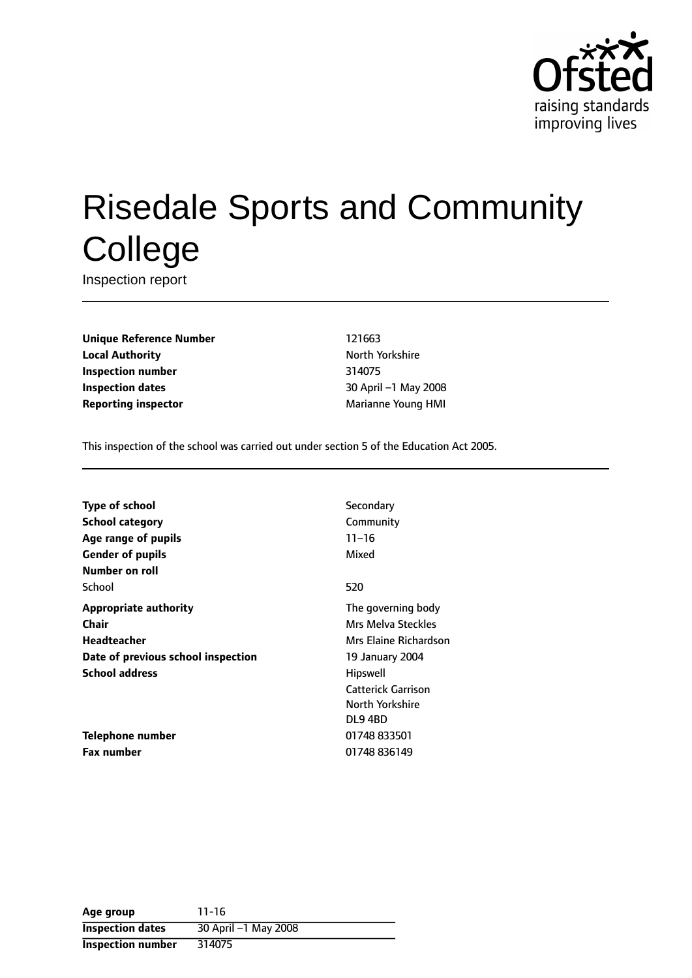

# Risedale Sports and Community **College**

Inspection report

**Unique Reference Number** 121663 **Local Authority North Yorkshire Inspection number** 314075 **Inspection dates** 30 April -1 May 2008 **Reporting inspector** Marianne Young HMI

This inspection of the school was carried out under section 5 of the Education Act 2005.

| <b>Type of school</b>              | Secondary                 |
|------------------------------------|---------------------------|
| <b>School category</b>             | Community                 |
| Age range of pupils                | $11 - 16$                 |
| <b>Gender of pupils</b>            | Mixed                     |
| Number on roll                     |                           |
| School                             | 520                       |
| <b>Appropriate authority</b>       | The governing body        |
| Chair                              | Mrs Melva Steckles        |
| Headteacher                        | Mrs Elaine Richardson     |
| Date of previous school inspection | 19 January 2004           |
| <b>School address</b>              | <b>Hipswell</b>           |
|                                    | <b>Catterick Garrison</b> |
|                                    | North Yorkshire           |
|                                    | DL94BD                    |
| Telephone number                   | 01748 833501              |
| <b>Fax number</b>                  | 01748 836149              |

| Age group               | $11 - 16$            |
|-------------------------|----------------------|
| <b>Inspection dates</b> | 30 April -1 May 2008 |
| Inspection number       | 314075               |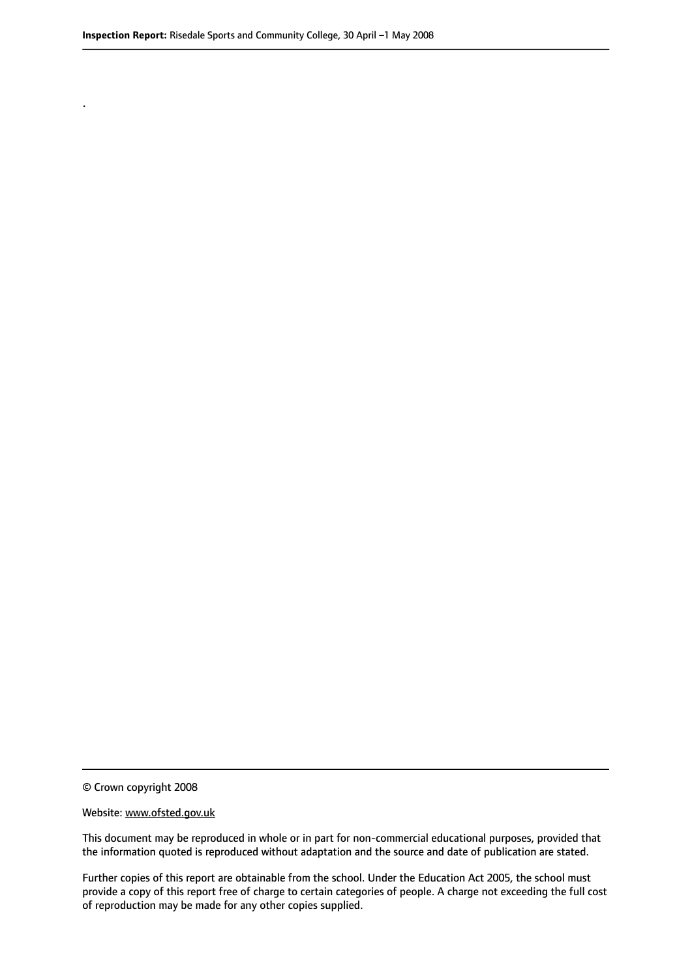.

© Crown copyright 2008

#### Website: www.ofsted.gov.uk

This document may be reproduced in whole or in part for non-commercial educational purposes, provided that the information quoted is reproduced without adaptation and the source and date of publication are stated.

Further copies of this report are obtainable from the school. Under the Education Act 2005, the school must provide a copy of this report free of charge to certain categories of people. A charge not exceeding the full cost of reproduction may be made for any other copies supplied.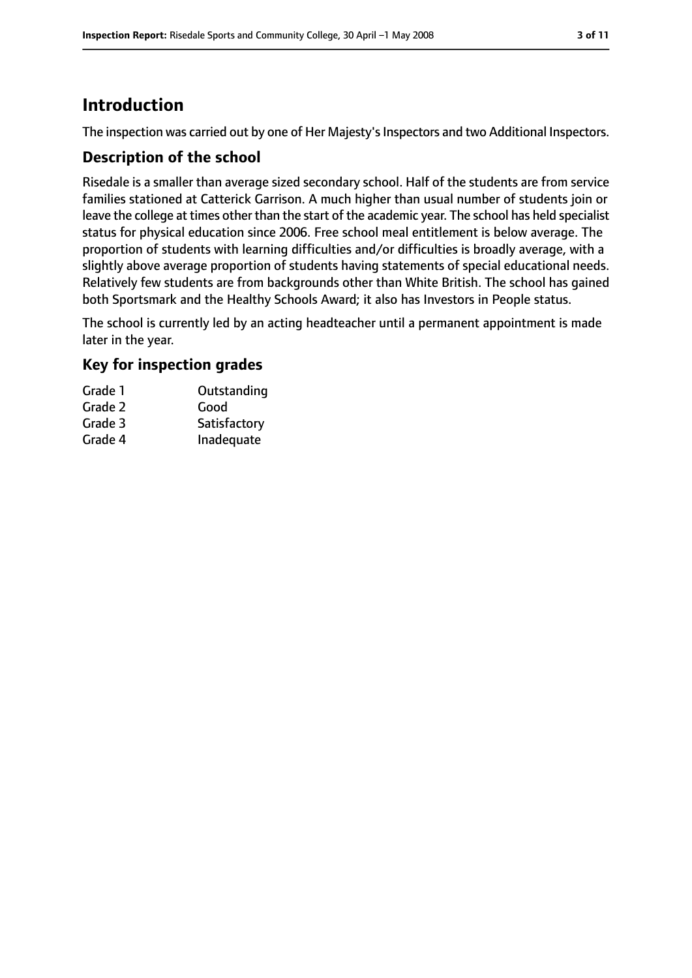# **Introduction**

The inspection was carried out by one of Her Majesty's Inspectors and two Additional Inspectors.

## **Description of the school**

Risedale is a smaller than average sized secondary school. Half of the students are from service families stationed at Catterick Garrison. A much higher than usual number of students join or leave the college at times other than the start of the academic year. The school has held specialist status for physical education since 2006. Free school meal entitlement is below average. The proportion of students with learning difficulties and/or difficulties is broadly average, with a slightly above average proportion of students having statements of special educational needs. Relatively few students are from backgrounds other than White British. The school has gained both Sportsmark and the Healthy Schools Award; it also has Investors in People status.

The school is currently led by an acting headteacher until a permanent appointment is made later in the year.

## **Key for inspection grades**

| Grade 1 | Outstanding  |
|---------|--------------|
| Grade 2 | Good         |
| Grade 3 | Satisfactory |
| Grade 4 | Inadequate   |
|         |              |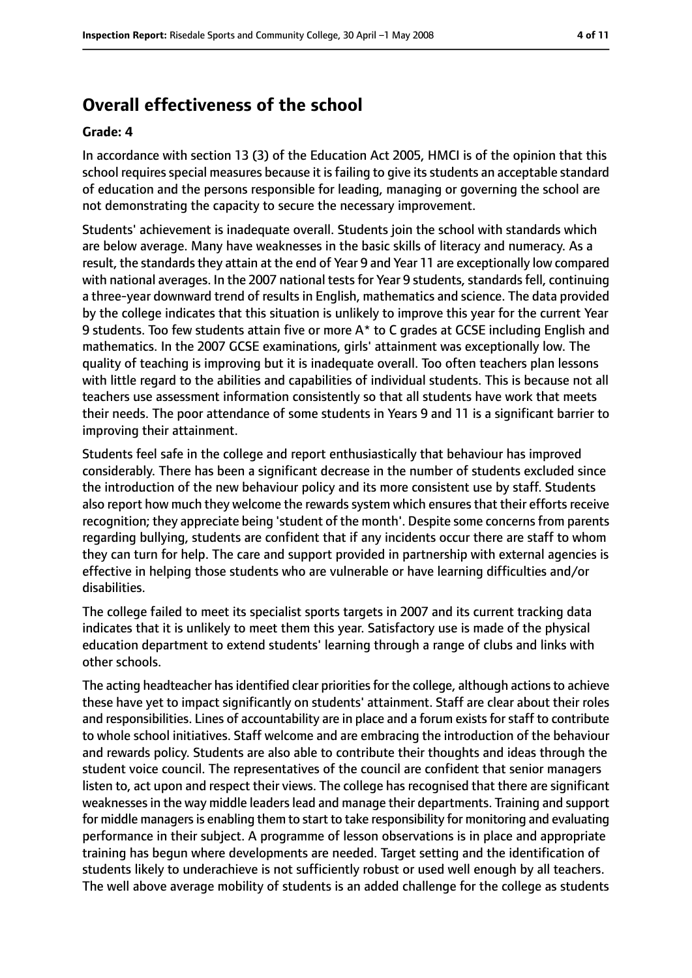# **Overall effectiveness of the school**

#### **Grade: 4**

In accordance with section 13 (3) of the Education Act 2005, HMCI is of the opinion that this school requires special measures because it is failing to give its students an acceptable standard of education and the persons responsible for leading, managing or governing the school are not demonstrating the capacity to secure the necessary improvement.

Students' achievement is inadequate overall. Students join the school with standards which are below average. Many have weaknesses in the basic skills of literacy and numeracy. As a result, the standards they attain at the end of Year 9 and Year 11 are exceptionally low compared with national averages. In the 2007 national tests for Year 9 students, standards fell, continuing a three-year downward trend of results in English, mathematics and science. The data provided by the college indicates that this situation is unlikely to improve this year for the current Year 9 students. Too few students attain five or more A\* to C grades at GCSE including English and mathematics. In the 2007 GCSE examinations, girls' attainment was exceptionally low. The quality of teaching is improving but it is inadequate overall. Too often teachers plan lessons with little regard to the abilities and capabilities of individual students. This is because not all teachers use assessment information consistently so that all students have work that meets their needs. The poor attendance of some students in Years 9 and 11 is a significant barrier to improving their attainment.

Students feel safe in the college and report enthusiastically that behaviour has improved considerably. There has been a significant decrease in the number of students excluded since the introduction of the new behaviour policy and its more consistent use by staff. Students also report how much they welcome the rewards system which ensures that their efforts receive recognition; they appreciate being 'student of the month'. Despite some concernsfrom parents regarding bullying, students are confident that if any incidents occur there are staff to whom they can turn for help. The care and support provided in partnership with external agencies is effective in helping those students who are vulnerable or have learning difficulties and/or disabilities.

The college failed to meet its specialist sports targets in 2007 and its current tracking data indicates that it is unlikely to meet them this year. Satisfactory use is made of the physical education department to extend students' learning through a range of clubs and links with other schools.

The acting headteacher hasidentified clear prioritiesfor the college, although actionsto achieve these have yet to impact significantly on students' attainment. Staff are clear about their roles and responsibilities. Lines of accountability are in place and a forum exists for staff to contribute to whole school initiatives. Staff welcome and are embracing the introduction of the behaviour and rewards policy. Students are also able to contribute their thoughts and ideas through the student voice council. The representatives of the council are confident that senior managers listen to, act upon and respect their views. The college has recognised that there are significant weaknesses in the way middle leaders lead and manage their departments. Training and support for middle managers is enabling them to start to take responsibility for monitoring and evaluating performance in their subject. A programme of lesson observations is in place and appropriate training has begun where developments are needed. Target setting and the identification of students likely to underachieve is not sufficiently robust or used well enough by all teachers. The well above average mobility of students is an added challenge for the college as students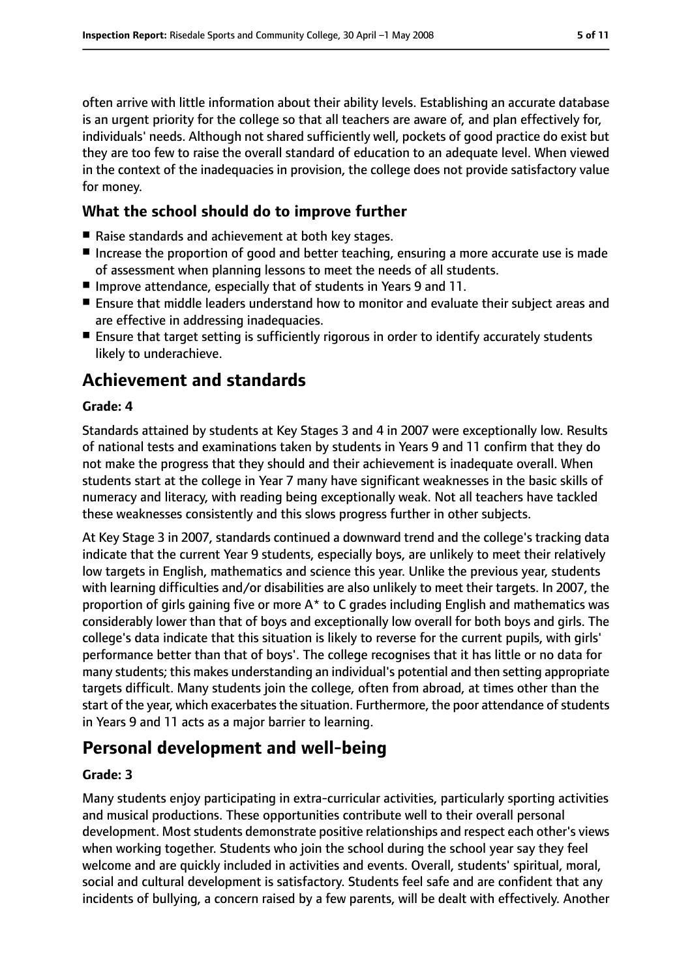often arrive with little information about their ability levels. Establishing an accurate database is an urgent priority for the college so that all teachers are aware of, and plan effectively for, individuals' needs. Although not shared sufficiently well, pockets of good practice do exist but they are too few to raise the overall standard of education to an adequate level. When viewed in the context of the inadequacies in provision, the college does not provide satisfactory value for money.

## **What the school should do to improve further**

- Raise standards and achievement at both key stages.
- Increase the proportion of good and better teaching, ensuring a more accurate use is made of assessment when planning lessons to meet the needs of all students.
- Improve attendance, especially that of students in Years 9 and 11.
- Ensure that middle leaders understand how to monitor and evaluate their subject areas and are effective in addressing inadequacies.
- Ensure that target setting is sufficiently rigorous in order to identify accurately students likely to underachieve.

# **Achievement and standards**

#### **Grade: 4**

Standards attained by students at Key Stages 3 and 4 in 2007 were exceptionally low. Results of national tests and examinations taken by students in Years 9 and 11 confirm that they do not make the progress that they should and their achievement is inadequate overall. When students start at the college in Year 7 many have significant weaknesses in the basic skills of numeracy and literacy, with reading being exceptionally weak. Not all teachers have tackled these weaknesses consistently and this slows progress further in other subjects.

At Key Stage 3 in 2007, standards continued a downward trend and the college's tracking data indicate that the current Year 9 students, especially boys, are unlikely to meet their relatively low targets in English, mathematics and science this year. Unlike the previous year, students with learning difficulties and/or disabilities are also unlikely to meet their targets. In 2007, the proportion of girls gaining five or more A\* to C grades including English and mathematics was considerably lower than that of boys and exceptionally low overall for both boys and girls. The college's data indicate that this situation is likely to reverse for the current pupils, with girls' performance better than that of boys'. The college recognises that it has little or no data for many students; this makes understanding an individual's potential and then setting appropriate targets difficult. Many students join the college, often from abroad, at times other than the start of the year, which exacerbates the situation. Furthermore, the poor attendance of students in Years 9 and 11 acts as a major barrier to learning.

# **Personal development and well-being**

#### **Grade: 3**

Many students enjoy participating in extra-curricular activities, particularly sporting activities and musical productions. These opportunities contribute well to their overall personal development. Most students demonstrate positive relationships and respect each other's views when working together. Students who join the school during the school year say they feel welcome and are quickly included in activities and events. Overall, students' spiritual, moral, social and cultural development is satisfactory. Students feel safe and are confident that any incidents of bullying, a concern raised by a few parents, will be dealt with effectively. Another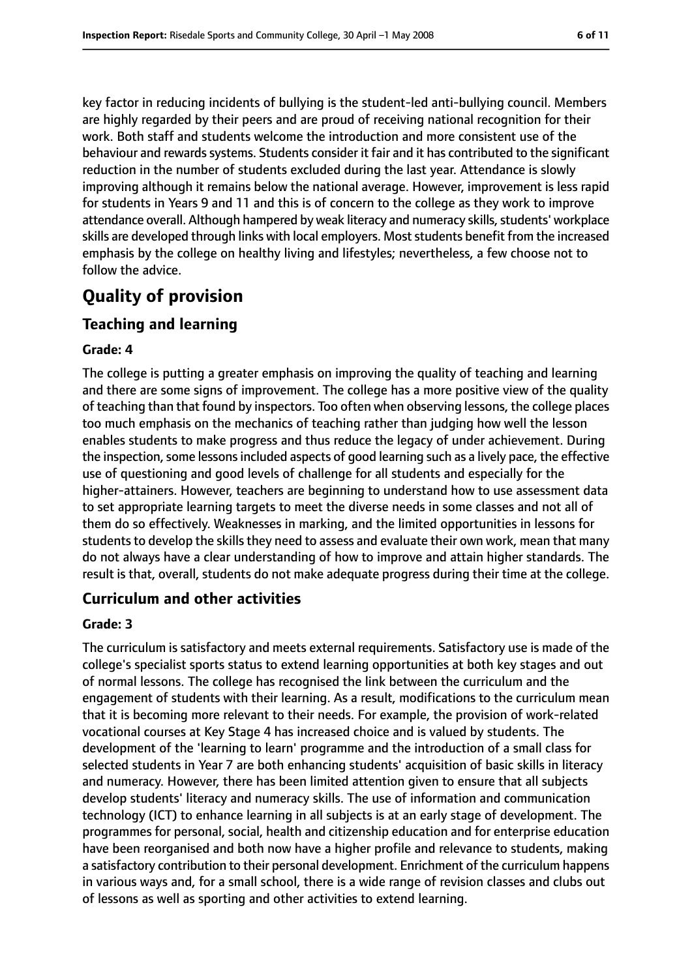key factor in reducing incidents of bullying is the student-led anti-bullying council. Members are highly regarded by their peers and are proud of receiving national recognition for their work. Both staff and students welcome the introduction and more consistent use of the behaviour and rewardssystems. Students consider it fair and it has contributed to the significant reduction in the number of students excluded during the last year. Attendance is slowly improving although it remains below the national average. However, improvement is less rapid for students in Years 9 and 11 and this is of concern to the college as they work to improve attendance overall. Although hampered by weak literacy and numeracy skills, students' workplace skills are developed through links with local employers. Moststudents benefit from the increased emphasis by the college on healthy living and lifestyles; nevertheless, a few choose not to follow the advice.

# **Quality of provision**

## **Teaching and learning**

#### **Grade: 4**

The college is putting a greater emphasis on improving the quality of teaching and learning and there are some signs of improvement. The college has a more positive view of the quality of teaching than that found by inspectors. Too often when observing lessons, the college places too much emphasis on the mechanics of teaching rather than judging how well the lesson enables students to make progress and thus reduce the legacy of under achievement. During the inspection, some lessons included aspects of good learning such as a lively pace, the effective use of questioning and good levels of challenge for all students and especially for the higher-attainers. However, teachers are beginning to understand how to use assessment data to set appropriate learning targets to meet the diverse needs in some classes and not all of them do so effectively. Weaknesses in marking, and the limited opportunities in lessons for students to develop the skills they need to assess and evaluate their own work, mean that many do not always have a clear understanding of how to improve and attain higher standards. The result is that, overall, students do not make adequate progress during their time at the college.

## **Curriculum and other activities**

#### **Grade: 3**

The curriculum is satisfactory and meets external requirements. Satisfactory use is made of the college's specialist sports status to extend learning opportunities at both key stages and out of normal lessons. The college has recognised the link between the curriculum and the engagement of students with their learning. As a result, modifications to the curriculum mean that it is becoming more relevant to their needs. For example, the provision of work-related vocational courses at Key Stage 4 has increased choice and is valued by students. The development of the 'learning to learn' programme and the introduction of a small class for selected students in Year 7 are both enhancing students' acquisition of basic skills in literacy and numeracy. However, there has been limited attention given to ensure that all subjects develop students' literacy and numeracy skills. The use of information and communication technology (ICT) to enhance learning in all subjects is at an early stage of development. The programmes for personal, social, health and citizenship education and for enterprise education have been reorganised and both now have a higher profile and relevance to students, making a satisfactory contribution to their personal development. Enrichment of the curriculum happens in various ways and, for a small school, there is a wide range of revision classes and clubs out of lessons as well as sporting and other activities to extend learning.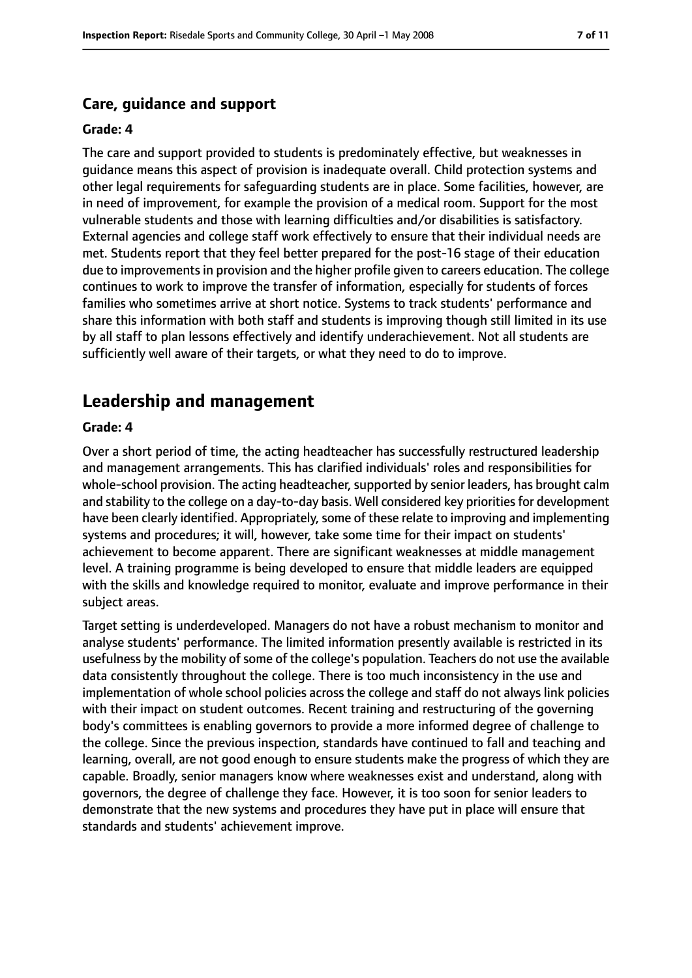#### **Care, guidance and support**

#### **Grade: 4**

The care and support provided to students is predominately effective, but weaknesses in guidance means this aspect of provision is inadequate overall. Child protection systems and other legal requirements for safeguarding students are in place. Some facilities, however, are in need of improvement, for example the provision of a medical room. Support for the most vulnerable students and those with learning difficulties and/or disabilities is satisfactory. External agencies and college staff work effectively to ensure that their individual needs are met. Students report that they feel better prepared for the post-16 stage of their education due to improvements in provision and the higher profile given to careers education. The college continues to work to improve the transfer of information, especially for students of forces families who sometimes arrive at short notice. Systems to track students' performance and share this information with both staff and students is improving though still limited in its use by all staff to plan lessons effectively and identify underachievement. Not all students are sufficiently well aware of their targets, or what they need to do to improve.

## **Leadership and management**

#### **Grade: 4**

Over a short period of time, the acting headteacher has successfully restructured leadership and management arrangements. This has clarified individuals' roles and responsibilities for whole-school provision. The acting headteacher, supported by senior leaders, has brought calm and stability to the college on a day-to-day basis. Well considered key priorities for development have been clearly identified. Appropriately, some of these relate to improving and implementing systems and procedures; it will, however, take some time for their impact on students' achievement to become apparent. There are significant weaknesses at middle management level. A training programme is being developed to ensure that middle leaders are equipped with the skills and knowledge required to monitor, evaluate and improve performance in their subject areas.

Target setting is underdeveloped. Managers do not have a robust mechanism to monitor and analyse students' performance. The limited information presently available is restricted in its usefulness by the mobility of some of the college's population. Teachers do not use the available data consistently throughout the college. There is too much inconsistency in the use and implementation of whole school policies across the college and staff do not always link policies with their impact on student outcomes. Recent training and restructuring of the governing body's committees is enabling governors to provide a more informed degree of challenge to the college. Since the previous inspection, standards have continued to fall and teaching and learning, overall, are not good enough to ensure students make the progress of which they are capable. Broadly, senior managers know where weaknesses exist and understand, along with governors, the degree of challenge they face. However, it is too soon for senior leaders to demonstrate that the new systems and procedures they have put in place will ensure that standards and students' achievement improve.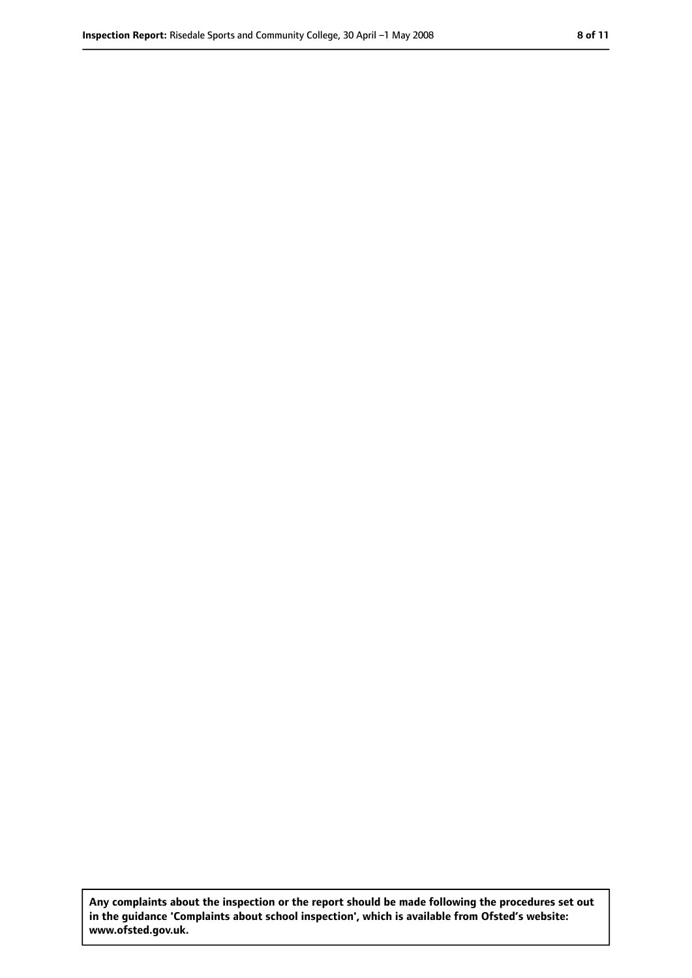**Any complaints about the inspection or the report should be made following the procedures set out in the guidance 'Complaints about school inspection', which is available from Ofsted's website: www.ofsted.gov.uk.**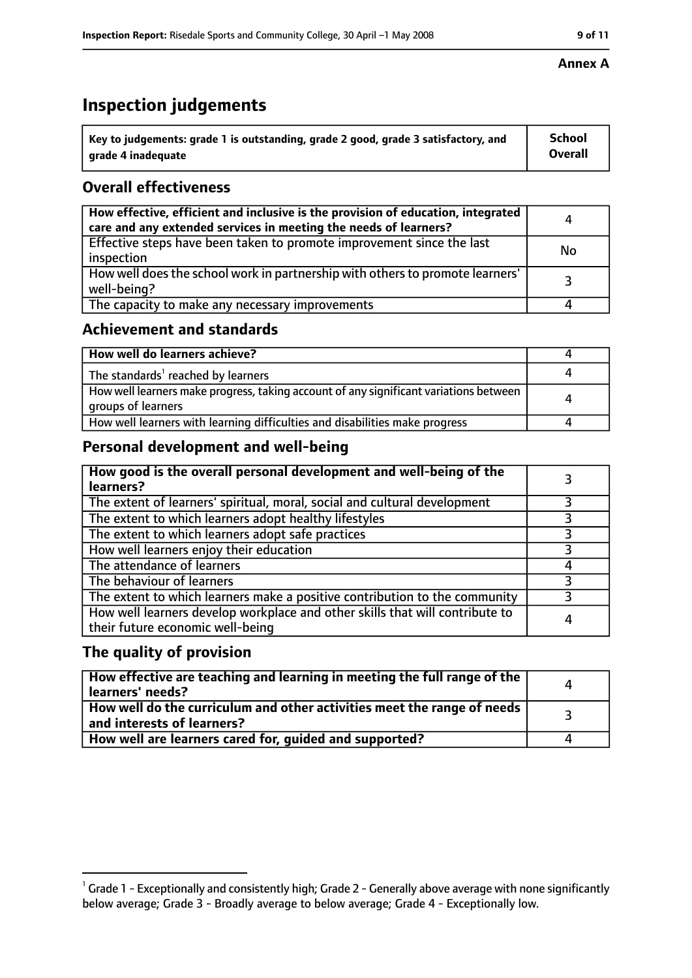# **Inspection judgements**

| $^{\backprime}$ Key to judgements: grade 1 is outstanding, grade 2 good, grade 3 satisfactory, and | <b>School</b>  |
|----------------------------------------------------------------------------------------------------|----------------|
| arade 4 inadeguate                                                                                 | <b>Overall</b> |

# **Overall effectiveness**

| How effective, efficient and inclusive is the provision of education, integrated<br>care and any extended services in meeting the needs of learners? | 4  |
|------------------------------------------------------------------------------------------------------------------------------------------------------|----|
| Effective steps have been taken to promote improvement since the last<br>inspection                                                                  | No |
| How well does the school work in partnership with others to promote learners'<br>well-being?                                                         |    |
| The capacity to make any necessary improvements                                                                                                      |    |

## **Achievement and standards**

| How well do learners achieve?                                                                               |  |
|-------------------------------------------------------------------------------------------------------------|--|
| The standards <sup>1</sup> reached by learners                                                              |  |
| How well learners make progress, taking account of any significant variations between<br>groups of learners |  |
| How well learners with learning difficulties and disabilities make progress                                 |  |

# **Personal development and well-being**

| How good is the overall personal development and well-being of the<br>learners?                                  |   |
|------------------------------------------------------------------------------------------------------------------|---|
| The extent of learners' spiritual, moral, social and cultural development                                        |   |
| The extent to which learners adopt healthy lifestyles                                                            |   |
| The extent to which learners adopt safe practices                                                                |   |
| How well learners enjoy their education                                                                          |   |
| The attendance of learners                                                                                       |   |
| The behaviour of learners                                                                                        |   |
| The extent to which learners make a positive contribution to the community                                       | 3 |
| How well learners develop workplace and other skills that will contribute to<br>their future economic well-being |   |

## **The quality of provision**

| How effective are teaching and learning in meeting the full range of the<br>learners' needs?            |  |
|---------------------------------------------------------------------------------------------------------|--|
| How well do the curriculum and other activities meet the range of needs  <br>and interests of learners? |  |
| How well are learners cared for, guided and supported?                                                  |  |

#### **Annex A**

 $^1$  Grade 1 - Exceptionally and consistently high; Grade 2 - Generally above average with none significantly below average; Grade 3 - Broadly average to below average; Grade 4 - Exceptionally low.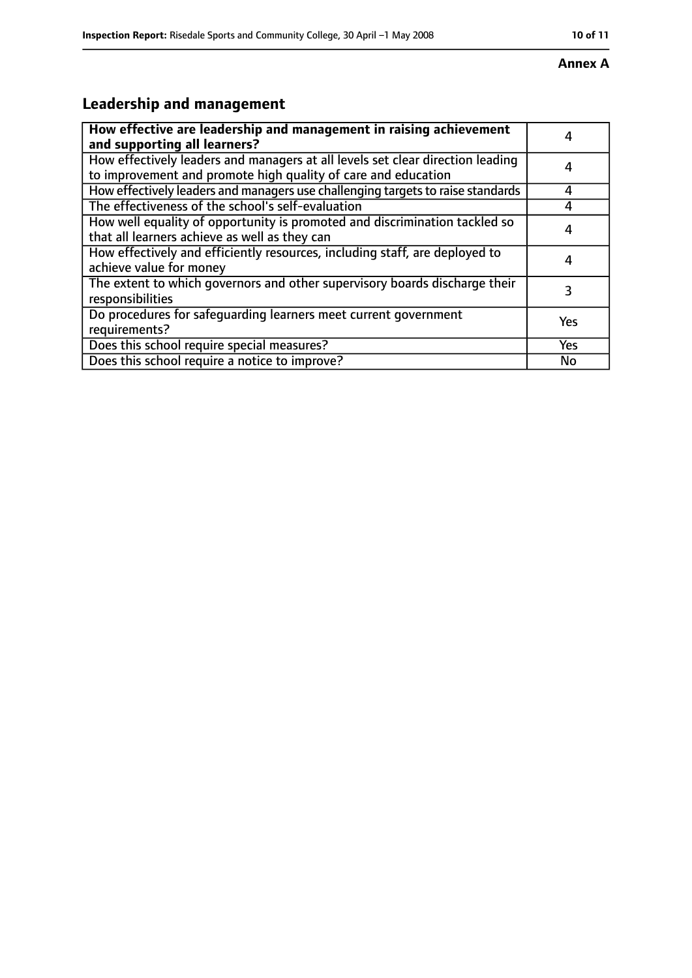#### **Annex A**

# **Leadership and management**

| How effective are leadership and management in raising achievement<br>and supporting all learners?                                              |     |
|-------------------------------------------------------------------------------------------------------------------------------------------------|-----|
| How effectively leaders and managers at all levels set clear direction leading<br>to improvement and promote high quality of care and education |     |
| How effectively leaders and managers use challenging targets to raise standards                                                                 |     |
| The effectiveness of the school's self-evaluation                                                                                               | Δ   |
| How well equality of opportunity is promoted and discrimination tackled so<br>that all learners achieve as well as they can                     |     |
| How effectively and efficiently resources, including staff, are deployed to<br>achieve value for money                                          | 4   |
| The extent to which governors and other supervisory boards discharge their<br>responsibilities                                                  |     |
| Do procedures for safequarding learners meet current government<br>requirements?                                                                | Yes |
| Does this school require special measures?                                                                                                      | Yes |
| Does this school require a notice to improve?                                                                                                   | No  |